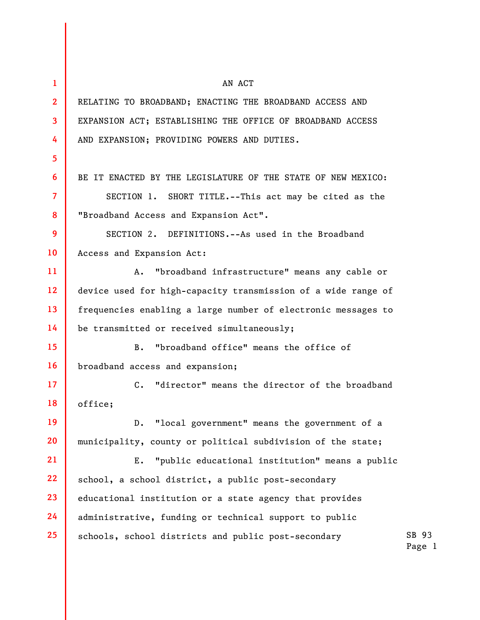| $\mathbf{1}$            | AN ACT                                                           |                 |
|-------------------------|------------------------------------------------------------------|-----------------|
| $\mathbf{2}$            | RELATING TO BROADBAND; ENACTING THE BROADBAND ACCESS AND         |                 |
| $\overline{\mathbf{3}}$ | EXPANSION ACT; ESTABLISHING THE OFFICE OF BROADBAND ACCESS       |                 |
| 4                       | AND EXPANSION; PROVIDING POWERS AND DUTIES.                      |                 |
| 5                       |                                                                  |                 |
| 6                       | BE IT ENACTED BY THE LEGISLATURE OF THE STATE OF NEW MEXICO:     |                 |
| $\overline{7}$          | SECTION 1. SHORT TITLE.--This act may be cited as the            |                 |
| 8                       | "Broadband Access and Expansion Act".                            |                 |
| 9                       | SECTION 2. DEFINITIONS.--As used in the Broadband                |                 |
| 10                      | Access and Expansion Act:                                        |                 |
| 11                      | "broadband infrastructure" means any cable or<br>Α.              |                 |
| 12 <sup>2</sup>         | device used for high-capacity transmission of a wide range of    |                 |
| 13                      | frequencies enabling a large number of electronic messages to    |                 |
| 14                      | be transmitted or received simultaneously;                       |                 |
| 15                      | "broadband office" means the office of<br>$B$ .                  |                 |
| 16                      | broadband access and expansion;                                  |                 |
| 17 <sup>2</sup>         | "director" means the director of the broadband<br>$\mathsf{C}$ . |                 |
| 18                      | office:                                                          |                 |
| 19                      | "local government" means the government of a<br>$D$ .            |                 |
| 20                      | municipality, county or political subdivision of the state;      |                 |
| 21                      | "public educational institution" means a public<br>Ε.            |                 |
| 22                      | school, a school district, a public post-secondary               |                 |
| 23                      | educational institution or a state agency that provides          |                 |
| 24                      | administrative, funding or technical support to public           |                 |
| 25                      | schools, school districts and public post-secondary              | SB 93<br>Page 1 |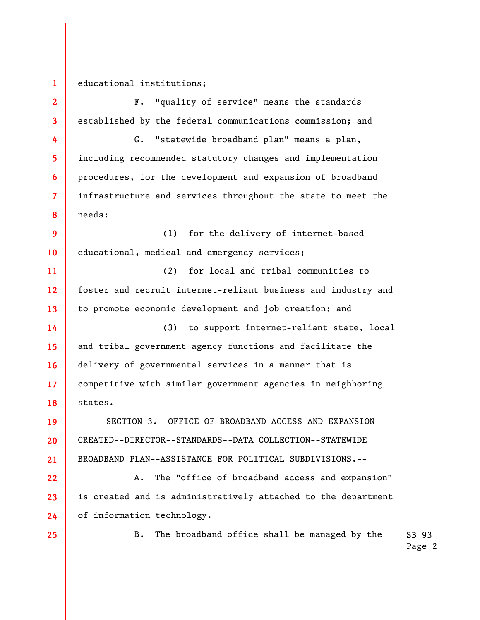1

educational institutions;

2 3 4 5 6 7 8 9 10 11 12 13 14 15 16 17 18 19 20 21 22 F. "quality of service" means the standards established by the federal communications commission; and G. "statewide broadband plan" means a plan, including recommended statutory changes and implementation procedures, for the development and expansion of broadband infrastructure and services throughout the state to meet the needs: (1) for the delivery of internet-based educational, medical and emergency services; (2) for local and tribal communities to foster and recruit internet-reliant business and industry and to promote economic development and job creation; and (3) to support internet-reliant state, local and tribal government agency functions and facilitate the delivery of governmental services in a manner that is competitive with similar government agencies in neighboring states. SECTION 3. OFFICE OF BROADBAND ACCESS AND EXPANSION CREATED--DIRECTOR--STANDARDS--DATA COLLECTION--STATEWIDE BROADBAND PLAN--ASSISTANCE FOR POLITICAL SUBDIVISIONS.-- A. The "office of broadband access and expansion"

is created and is administratively attached to the department of information technology.

25

23

24

SB 93 B. The broadband office shall be managed by the

Page 2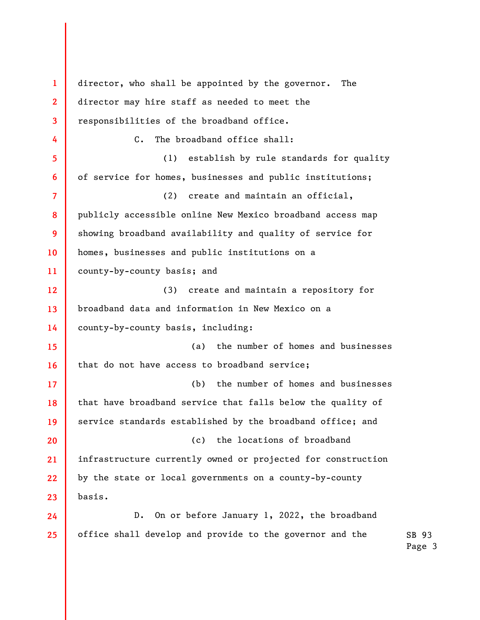1 2 3 4 5 6 7 8 9 10 11 12 13 14 15 16 17 18 19 20 21 22 23 24 25 director, who shall be appointed by the governor. The director may hire staff as needed to meet the responsibilities of the broadband office. C. The broadband office shall: (1) establish by rule standards for quality of service for homes, businesses and public institutions; (2) create and maintain an official, publicly accessible online New Mexico broadband access map showing broadband availability and quality of service for homes, businesses and public institutions on a county-by-county basis; and (3) create and maintain a repository for broadband data and information in New Mexico on a county-by-county basis, including: (a) the number of homes and businesses that do not have access to broadband service; (b) the number of homes and businesses that have broadband service that falls below the quality of service standards established by the broadband office; and (c) the locations of broadband infrastructure currently owned or projected for construction by the state or local governments on a county-by-county basis. D. On or before January 1, 2022, the broadband office shall develop and provide to the governor and the

SB 93 Page 3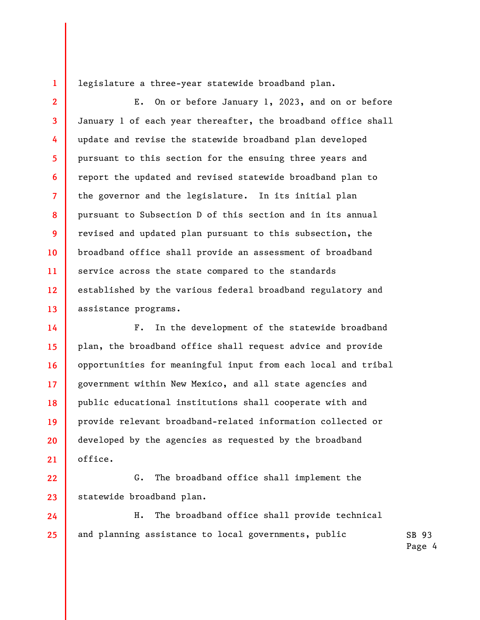legislature a three-year statewide broadband plan.

1

2

3

4

5

6

7

8

9

10

11

12

13

24

25

E. On or before January 1, 2023, and on or before January 1 of each year thereafter, the broadband office shall update and revise the statewide broadband plan developed pursuant to this section for the ensuing three years and report the updated and revised statewide broadband plan to the governor and the legislature. In its initial plan pursuant to Subsection D of this section and in its annual revised and updated plan pursuant to this subsection, the broadband office shall provide an assessment of broadband service across the state compared to the standards established by the various federal broadband regulatory and assistance programs.

14 15 16 17 18 19 20 21 F. In the development of the statewide broadband plan, the broadband office shall request advice and provide opportunities for meaningful input from each local and tribal government within New Mexico, and all state agencies and public educational institutions shall cooperate with and provide relevant broadband-related information collected or developed by the agencies as requested by the broadband office.

22 23 G. The broadband office shall implement the statewide broadband plan.

SB 93 H. The broadband office shall provide technical and planning assistance to local governments, public

Page 4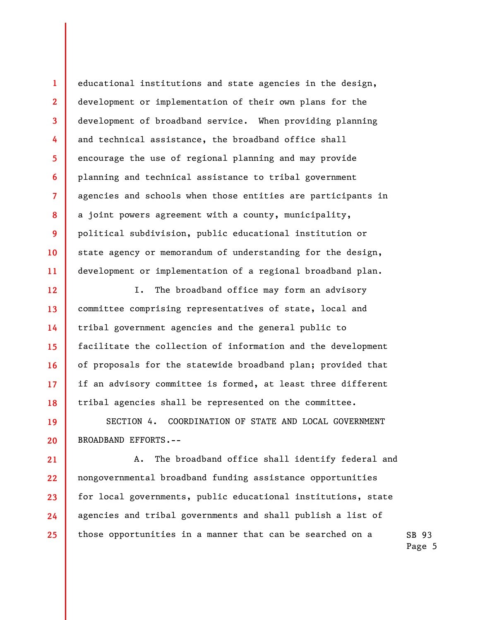educational institutions and state agencies in the design, development or implementation of their own plans for the development of broadband service. When providing planning and technical assistance, the broadband office shall encourage the use of regional planning and may provide planning and technical assistance to tribal government agencies and schools when those entities are participants in a joint powers agreement with a county, municipality, political subdivision, public educational institution or state agency or memorandum of understanding for the design, development or implementation of a regional broadband plan.

1

2

3

4

5

6

7

8

9

10

11

12

13

14

15

16

17

18

21

22

23

24

25

I. The broadband office may form an advisory committee comprising representatives of state, local and tribal government agencies and the general public to facilitate the collection of information and the development of proposals for the statewide broadband plan; provided that if an advisory committee is formed, at least three different tribal agencies shall be represented on the committee.

19 20 SECTION 4. COORDINATION OF STATE AND LOCAL GOVERNMENT BROADBAND EFFORTS.--

 A. The broadband office shall identify federal and nongovernmental broadband funding assistance opportunities for local governments, public educational institutions, state agencies and tribal governments and shall publish a list of those opportunities in a manner that can be searched on a

SB 93 Page 5